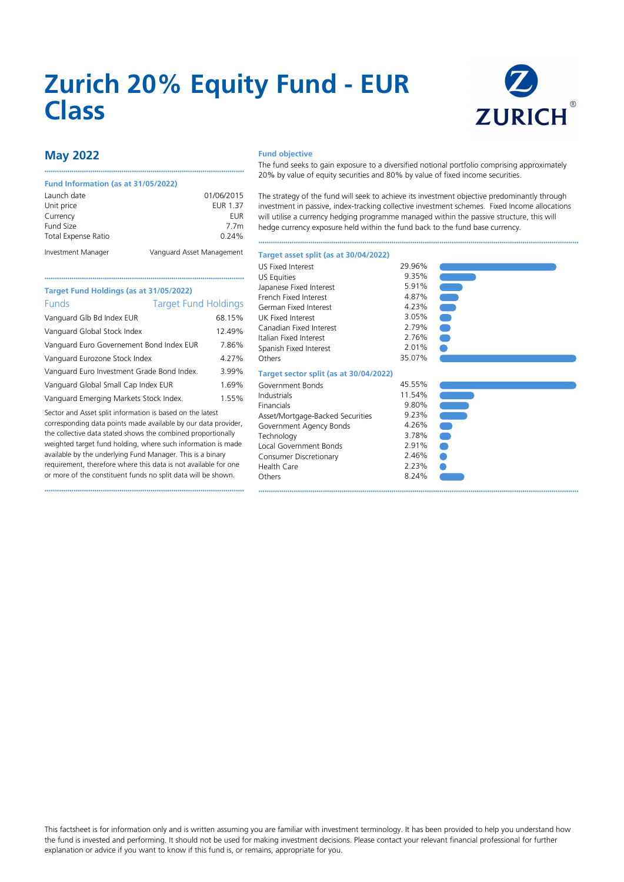# **Zurich 20% Equity Fund - EUR Class**



# **May 2022**

#### **Fund Information (as at 31/05/2022)**

| Launch date                | 01/06/2015                |
|----------------------------|---------------------------|
| Unit price                 | <b>EUR 1.37</b>           |
| Currency                   | EUR                       |
| Fund Size                  | 7.7 <sub>m</sub>          |
| <b>Total Expense Ratio</b> | 0.24%                     |
| Investment Manager         | Vanguard Asset Management |

••••••••••••••••••••••••••••••••••••••••••••••••••••••••••••••••••••••••••••••••••••••••••••••••

••••••••••••••••••••••••••••••••••••••••••••••••••••••••••••••••••••••••••••••••••••••••••••••••

#### **Fund objective**

The fund seeks to gain exposure to a diversified notional portfolio comprising approximately 20% by value of equity securities and 80% by value of fixed income securities.

The strategy of the fund will seek to achieve its investment objective predominantly through investment in passive, index-tracking collective investment schemes. Fixed Income allocations will utilise a currency hedging programme managed within the passive structure, this will hedge currency exposure held within the fund back to the fund base currency.

••••••••••••••••••••••••••••••••••••••••••••••••••••••••••••••••••••••••••••••••••••••••••••••••••••••••••••••••••••••••••••••••••••••••••••••••••••••••••

#### **Target asset split (as at 30/04/2022)**

| <b>US Fixed Interest</b>               | 29.96% |  |
|----------------------------------------|--------|--|
| <b>US Equities</b>                     | 9.35%  |  |
| Japanese Fixed Interest                | 5.91%  |  |
| French Fixed Interest                  | 4.87%  |  |
| German Fixed Interest                  | 4.23%  |  |
| UK Fixed Interest                      | 3.05%  |  |
| Canadian Fixed Interest                | 2.79%  |  |
| Italian Fixed Interest                 | 2.76%  |  |
| Spanish Fixed Interest                 | 2.01%  |  |
| <b>Others</b>                          | 35.07% |  |
| Target sector split (as at 30/04/2022) |        |  |
| Government Bonds                       | 45.55% |  |
| Industrials                            | 11.54% |  |
| Financials                             | 9.80%  |  |
| Asset/Mortgage-Backed Securities       | 9.23%  |  |
| Government Agency Bonds                | 4.26%  |  |
| Technology                             | 3.78%  |  |
| Local Government Bonds                 | 2.91%  |  |
| Consumer Discretionary                 | 2.46%  |  |
| Health Care                            | 2.23%  |  |
| Others                                 | 8.24%  |  |
|                                        |        |  |



| e e |  |
|-----|--|
| æ   |  |
| г.  |  |
| n.  |  |
|     |  |
|     |  |

## **Target Fund Holdings (as at 31/05/2022)** Funds Target Fund Holdings

| Vanguard Glb Bd Index EUR                  | 68.15% |
|--------------------------------------------|--------|
| Vanguard Global Stock Index                | 12.49% |
| Vanguard Euro Governement Bond Index EUR   | 7.86%  |
| Vanguard Eurozone Stock Index              | 4.27%  |
| Vanguard Euro Investment Grade Bond Index. | 3.99%  |
| Vanguard Global Small Cap Index EUR        | 1.69%  |
| Vanguard Emerging Markets Stock Index.     | 1.55%  |
|                                            |        |

Sector and Asset split information is based on the latest corresponding data points made available by our data provider, the collective data stated shows the combined proportionally weighted target fund holding, where such information is made available by the underlying Fund Manager. This is a binary requirement, therefore where this data is not available for one or more of the constituent funds no split data will be shown.

••••••••••••••••••••••••••••••••••••••••••••••••••••••••••••••••••••••••••••••••••••••••••••••••